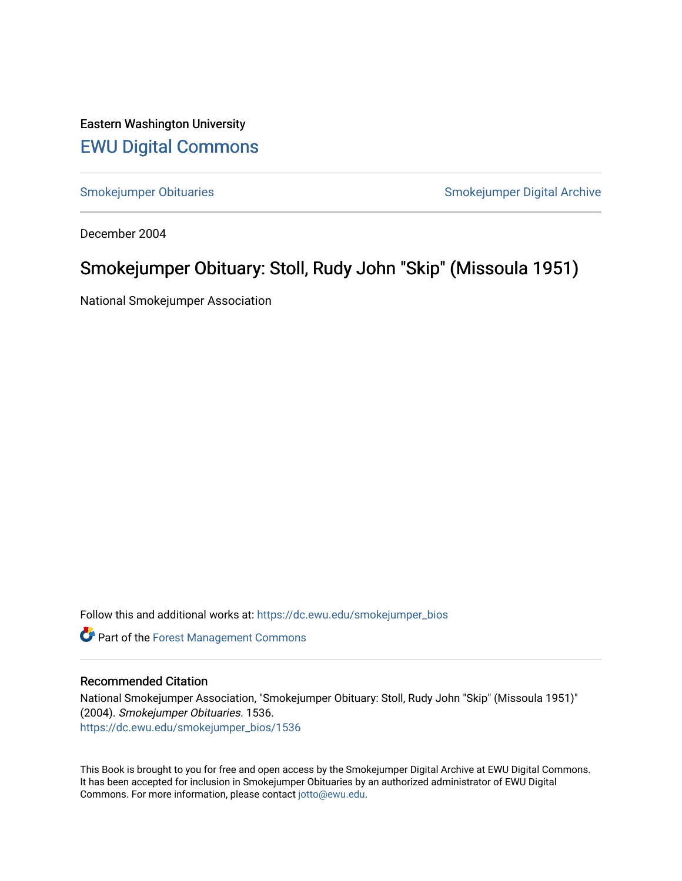Eastern Washington University [EWU Digital Commons](https://dc.ewu.edu/)

[Smokejumper Obituaries](https://dc.ewu.edu/smokejumper_bios) **Smokeyer Community** Smokejumper Digital Archive

December 2004

## Smokejumper Obituary: Stoll, Rudy John "Skip" (Missoula 1951)

National Smokejumper Association

Follow this and additional works at: [https://dc.ewu.edu/smokejumper\\_bios](https://dc.ewu.edu/smokejumper_bios?utm_source=dc.ewu.edu%2Fsmokejumper_bios%2F1536&utm_medium=PDF&utm_campaign=PDFCoverPages) 

**Part of the [Forest Management Commons](http://network.bepress.com/hgg/discipline/92?utm_source=dc.ewu.edu%2Fsmokejumper_bios%2F1536&utm_medium=PDF&utm_campaign=PDFCoverPages)** 

## Recommended Citation

National Smokejumper Association, "Smokejumper Obituary: Stoll, Rudy John "Skip" (Missoula 1951)" (2004). Smokejumper Obituaries. 1536. [https://dc.ewu.edu/smokejumper\\_bios/1536](https://dc.ewu.edu/smokejumper_bios/1536?utm_source=dc.ewu.edu%2Fsmokejumper_bios%2F1536&utm_medium=PDF&utm_campaign=PDFCoverPages)

This Book is brought to you for free and open access by the Smokejumper Digital Archive at EWU Digital Commons. It has been accepted for inclusion in Smokejumper Obituaries by an authorized administrator of EWU Digital Commons. For more information, please contact [jotto@ewu.edu.](mailto:jotto@ewu.edu)